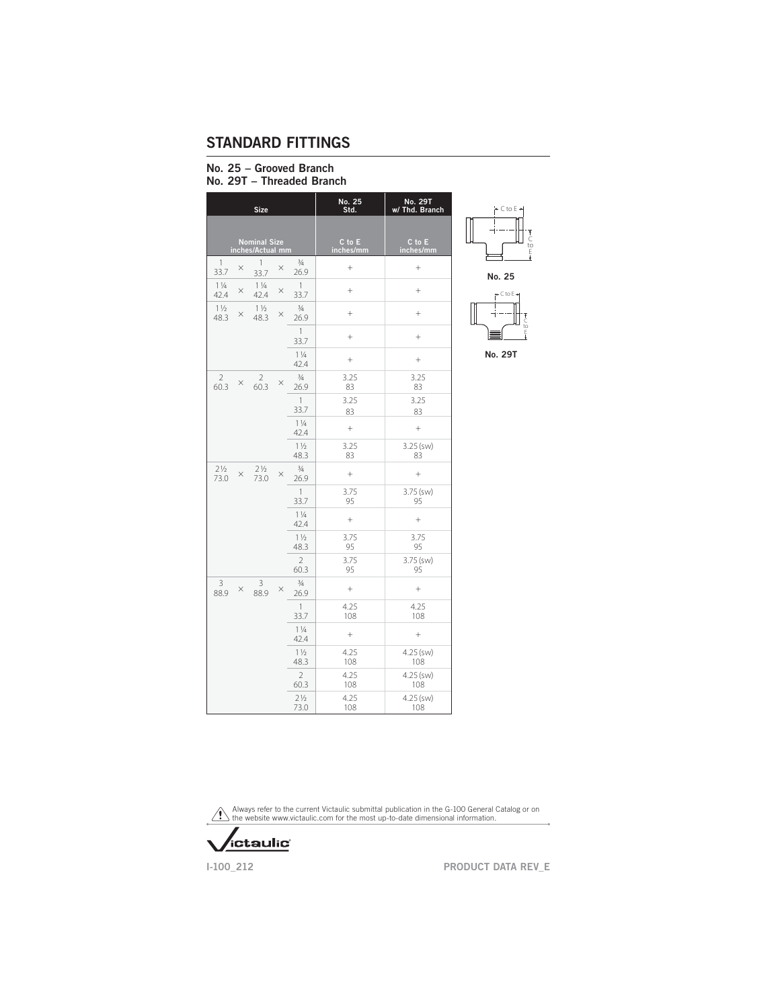#### No. 25 - Grooved Branch No. 29T - Threaded Branch

|                        |          | <b>Size</b>                             |          |                        | No. 25<br>Std.      | No. 29T<br>w/ Thd. Branch |
|------------------------|----------|-----------------------------------------|----------|------------------------|---------------------|---------------------------|
|                        |          | <b>Nominal Size</b><br>inches/Actual mm |          |                        | C to E<br>inches/mm | C to E<br>inches/mm       |
| 1<br>33.7              | $\times$ | 1<br>33.7                               | $\times$ | $\frac{3}{4}$<br>26.9  | $+$                 | $^{+}$                    |
| $1\frac{1}{4}$<br>42.4 | $\times$ | $1\frac{1}{4}$<br>42.4                  | $\times$ | $\mathbf{1}$<br>33.7   | $^{+}$              | $^{+}$                    |
| $1\frac{1}{2}$<br>48.3 | $\times$ | $1\frac{1}{2}$<br>48.3                  | $\times$ | $\frac{3}{4}$<br>26.9  | $^{+}$              | $^{+}$                    |
|                        |          |                                         |          | $\mathbf{1}$<br>33.7   | $^{+}$              | $^{+}$                    |
|                        |          |                                         |          | $1\frac{1}{4}$<br>42.4 | $^{+}$              | $^{+}$                    |
| $\mathcal{P}$<br>60.3  | X        | $\overline{2}$<br>60.3                  | $\times$ | $\frac{3}{4}$<br>26.9  | 3.25<br>83          | 3.25<br>83                |
|                        |          |                                         |          | $\mathbf{1}$<br>33.7   | 3.25<br>83          | 3.25<br>83                |
|                        |          |                                         |          | $1\frac{1}{4}$<br>42.4 | $^{+}$              | $^{+}$                    |
|                        |          |                                         |          | $1\frac{1}{2}$<br>48.3 | 3.25<br>83          | 3.25 (sw)<br>83           |
| $2\frac{1}{2}$<br>73.0 | $\times$ | $2\frac{1}{2}$<br>73.0                  | $\times$ | $\frac{3}{4}$<br>26.9  | $^{+}$              | $^{+}$                    |
|                        |          |                                         |          | $\mathbf{1}$<br>33.7   | 3.75<br>95          | $3.75$ (sw)<br>95         |
|                        |          |                                         |          | $1\frac{1}{4}$<br>42.4 | $^{+}$              | $^{+}$                    |
|                        |          |                                         |          | $1\frac{1}{2}$<br>48.3 | 3.75<br>95          | 3.75<br>95                |
|                        |          |                                         |          | $\overline{2}$<br>60.3 | 3.75<br>95          | $3.75$ (sw)<br>95         |
| 3<br>88.9              | $\times$ | 3<br>88.9                               | $\times$ | $\frac{3}{4}$<br>26.9  | $^{+}$              | $^{+}$                    |
|                        |          |                                         |          | $\mathbf{1}$<br>33.7   | 4.25<br>108         | 4.25<br>108               |
|                        |          |                                         |          | $1\frac{1}{4}$<br>42.4 | $+$                 | $\qquad \qquad +$         |
|                        |          |                                         |          | $1\frac{1}{2}$<br>48.3 | 4.25<br>108         | $4.25$ (sw)<br>108        |
|                        |          |                                         |          | $\overline{2}$<br>60.3 | 4.25<br>108         | $4.25$ (sw)<br>108        |
|                        |          |                                         |          | $2\frac{1}{2}$<br>73.0 | 4.25<br>108         | 4.25 (sw)<br>108          |



No. 29T

Always refer to the current Victaulic submittal publication in the G-100 General Catalog or on the website www.victaulic.com for the most up-to-date dimensional information.



1-100\_212 PRODUCT DATA REV\_E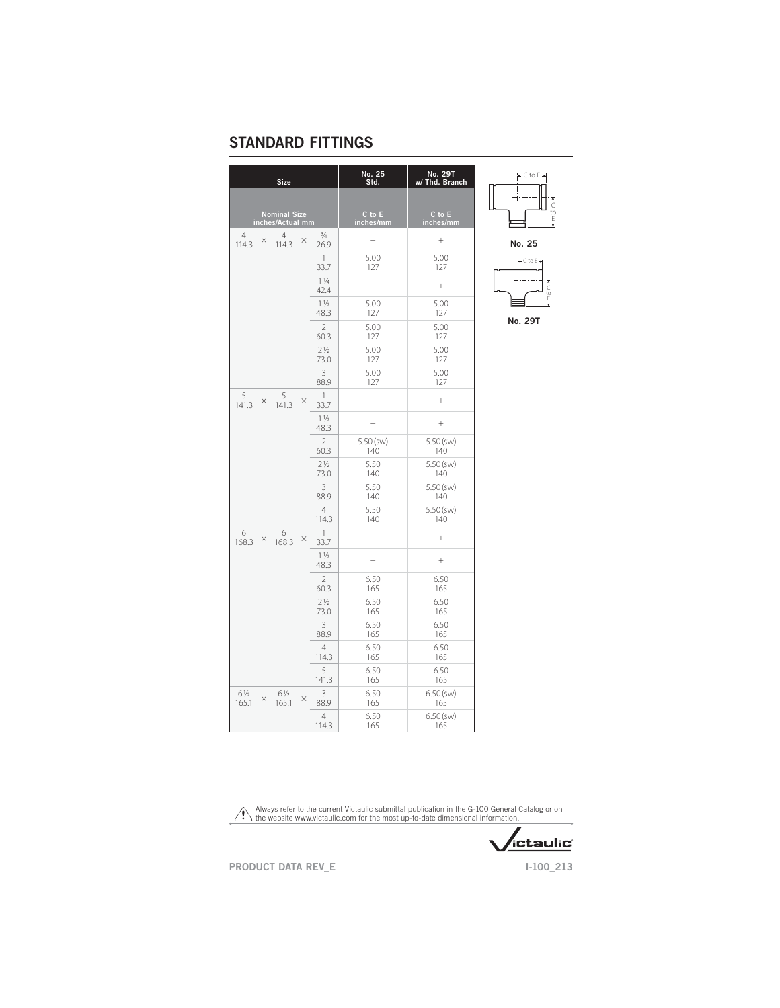| <b>Size</b>                                      |                        | No. 25<br>Std. | No. 29T<br>w/ Thd. Branch |
|--------------------------------------------------|------------------------|----------------|---------------------------|
| <b>Nominal Size</b>                              |                        | C to E         | C to E                    |
| inches/Actual mm                                 |                        | inches/mm      | inches/mm                 |
| 4<br>4<br>$\times$<br>$\times$<br>114.3<br>114.3 | $\frac{3}{4}$<br>26.9  | $^{+}$         | $^{+}$                    |
|                                                  | $\overline{1}$         | 5.00           | 5.00                      |
|                                                  | 33.7                   | 127            | 127                       |
|                                                  | $1\frac{1}{4}$<br>42.4 | $^{+}$         | $^{+}$                    |
|                                                  | $1\frac{1}{2}$         | 5.00           | 5.00                      |
|                                                  | 48.3                   | 127            | 127                       |
|                                                  | $\overline{2}$         | 5.00           | 5.00                      |
|                                                  | 60.3                   | 127            | 127                       |
|                                                  | $2\frac{1}{2}$         | 5.00           | 5.00                      |
|                                                  | 73.0                   | 127            | 127                       |
|                                                  | 3                      | 5.00           | 5.00                      |
|                                                  | 88.9                   | 127            | 127                       |
| 5<br>5<br>$\times$<br>$\times$<br>141.3<br>141.3 | $\overline{1}$<br>33.7 | $\ddot{}$      | $\ddot{}$                 |
|                                                  | $1\frac{1}{2}$<br>48.3 | $^{+}$         | $^{+}$                    |
|                                                  | $\overline{2}$         | 5.50 (sw)      | $5.50$ (sw)               |
|                                                  | 60.3                   | 140            | 140                       |
|                                                  | $2\frac{1}{2}$         | 5.50           | $5.50$ (sw)               |
|                                                  | 73.0                   | 140            | 140                       |
|                                                  | 3                      | 5.50           | $5.50$ (sw)               |
|                                                  | 88.9                   | 140            | 140                       |
|                                                  | $\overline{4}$         | 5.50           | $5.50$ (sw)               |
|                                                  | 114.3                  | 140            | 140                       |
| 6<br>6<br>$\times$ 168.3<br>$\times$<br>168.3    | $\overline{1}$<br>33.7 | $^{+}$         | $\ddot{}$                 |
|                                                  | $1\frac{1}{2}$<br>48.3 | $^{+}$         | $^{+}$                    |
|                                                  | $\overline{2}$         | 6.50           | 6.50                      |
|                                                  | 60.3                   | 165            | 165                       |
|                                                  | $2\frac{1}{2}$         | 6.50           | 6.50                      |
|                                                  | 73.0                   | 165            | 165                       |
|                                                  | 3                      | 6.50           | 6.50                      |
|                                                  | 88.9                   | 165            | 165                       |
|                                                  | $\overline{4}$         | 6.50           | 6.50                      |
|                                                  | 114.3                  | 165            | 165                       |
|                                                  | 5                      | 6.50           | 6.50                      |
|                                                  | 141.3                  | 165            | 165                       |
| 61/2<br>61/2<br>×<br>$\times$<br>165.1<br>165.1  | 3<br>88.9              | 6.50<br>165    | $6.50$ (sw)<br>165        |
|                                                  | $\overline{4}$         | 6.50           | $6.50$ (sw)               |
|                                                  | 114.3                  | 165            | 165                       |



No. 25



No. 29T

 $\Delta$ Always refer to the current Victaulic submittal publication in the G-100 General Catalog or on the website www.victaulic.com for the most up-to-date dimensional information.

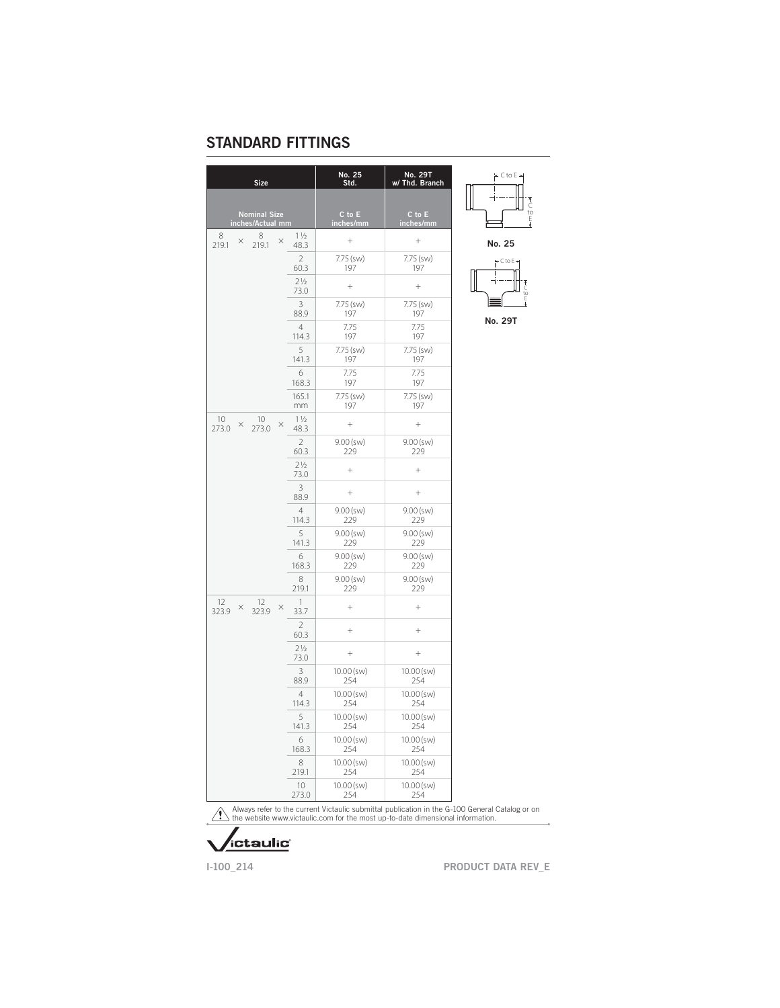| <b>Size</b>                                        |                        | No. 25<br>Std.      | No. 29T<br>w/ Thd. Branch |
|----------------------------------------------------|------------------------|---------------------|---------------------------|
|                                                    |                        |                     |                           |
| Nominal Size<br>inches/Actual mm                   |                        | C to E<br>inches/mm | $C$ to $E$<br>inches/mm   |
| 8<br>8<br>$\times$<br>×<br>219.1<br>219.1          | $1\frac{1}{2}$<br>48.3 | $^{+}$              | $^{+}$                    |
|                                                    | $\overline{2}$         | 7.75 (sw)           | 7.75 (sw)                 |
|                                                    | 60.3                   | 197                 | 197                       |
|                                                    | $2\frac{1}{2}$<br>73.0 | $\ddot{}$           | $^{+}$                    |
|                                                    | 3                      | 7.75 (sw)           | 7.75 (sw)                 |
|                                                    | 88.9                   | 197                 | 197                       |
|                                                    | $\overline{4}$         | 7.75                | 7.75                      |
|                                                    | 114.3                  | 197                 | 197                       |
|                                                    | 5                      | 7.75 (sw)           | 7.75 (sw)                 |
|                                                    | 141.3                  | 197                 | 197                       |
|                                                    | 6                      | 7.75                | 7.75                      |
|                                                    | 168.3                  | 197                 | 197                       |
|                                                    | 165.1                  | 7.75 (sw)           | 7.75 (sw)                 |
|                                                    | mm                     | 197                 | 197                       |
| 10<br>10<br>$\times$<br>$\times$<br>273.0<br>273.0 | $1\frac{1}{2}$<br>48.3 | $^{+}$              | $^{+}$                    |
|                                                    | $\overline{2}$         | $9.00$ (sw)         | $9.00$ (sw)               |
|                                                    | 60.3                   | 229                 | 229                       |
|                                                    | 71/2<br>73.0           | $^{+}$              | $^{+}$                    |
|                                                    | 3<br>88.9              | $^{+}$              | $^{+}$                    |
|                                                    | $\overline{4}$         | $9.00$ (sw)         | $9.00$ (sw)               |
|                                                    | 114.3                  | 229                 | 229                       |
|                                                    | 5                      | $9.00$ (sw)         | $9.00$ (sw)               |
|                                                    | 141.3                  | 229                 | 229                       |
|                                                    | 6                      | $9.00$ (sw)         | $9.00$ (sw)               |
|                                                    | 168.3                  | 229                 | 229                       |
|                                                    | 8                      | $9.00$ (sw)         | $9.00$ (sw)               |
|                                                    | 219.1                  | 229                 | 229                       |
| 12<br>12<br>$\times$<br>$\times$<br>323.9<br>323.9 | $\mathbf{1}$<br>33.7   | $^{+}$              | $^{+}$                    |
|                                                    | $\overline{2}$<br>60.3 | $^{+}$              | $^{+}$                    |
|                                                    | 21/2<br>73.0           | $^{+}$              | $^{+}$                    |
|                                                    | 3                      | $10.00$ (sw)        | $10.00$ (sw)              |
|                                                    | 88.9                   | 254                 | 254                       |
|                                                    | $\overline{4}$         | $10.00$ (sw)        | $10.00$ (sw)              |
|                                                    | 114.3                  | 254                 | 254                       |
|                                                    | 5                      | $10.00$ (sw)        | $10.00$ (sw)              |
|                                                    | 141.3                  | 254                 | 254                       |
|                                                    | 6                      | $10.00$ (sw)        | $10.00$ (sw)              |
|                                                    | 168.3                  | 254                 | 254                       |
|                                                    | 8                      | $10.00$ (sw)        | $10.00$ (sw)              |
|                                                    | 219.1                  | 254                 | 254                       |
|                                                    | 10                     | 10.00 (sw)          | $10.00$ (sw)              |
|                                                    | 273.0                  | 254                 | 254                       |

 $\div$  C to E  $\div$ C to E No. 25



No. 29T

Always refer to the current Victaulic submittal publication in the G-100 General Catalog or on the website www.victaulic.com for the most up-to-date dimensional information.

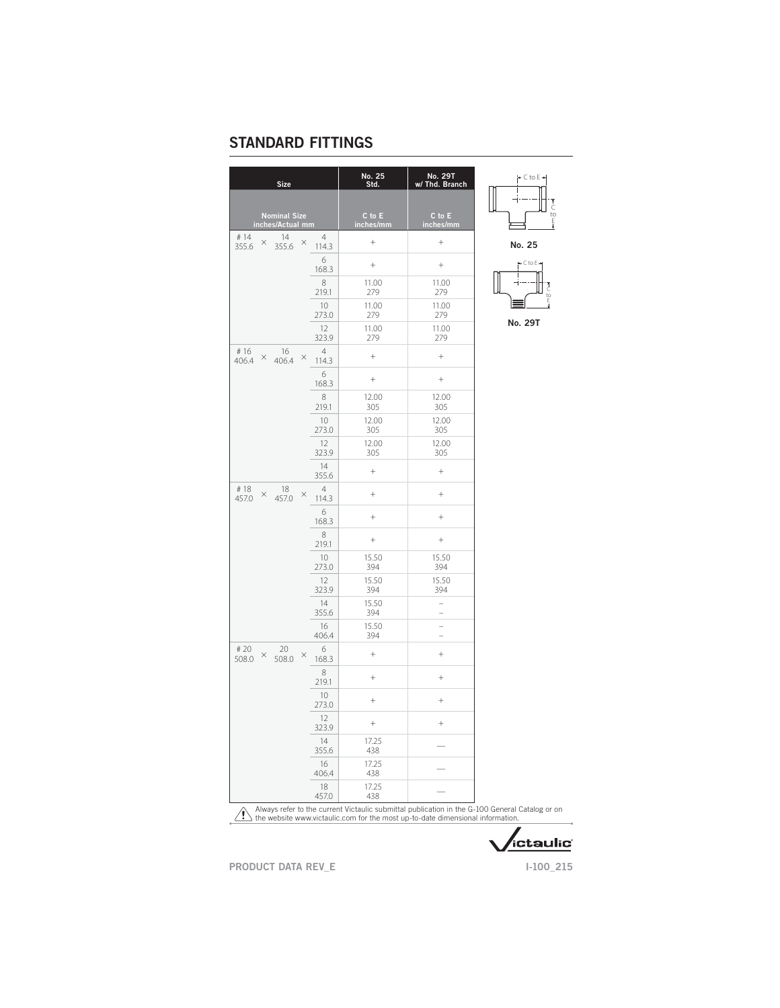| <b>Size</b>                                         |                         | No. 25<br>Std.      | <b>No. 29T</b><br>w/ Thd. Branch           |
|-----------------------------------------------------|-------------------------|---------------------|--------------------------------------------|
|                                                     |                         |                     |                                            |
| Nominal Size<br>inches/Actual mm                    |                         | C to E<br>inches/mm | C to E<br>inches/mm                        |
| #14<br>14<br>$\times$<br>$\times$<br>355.6<br>355.6 | $\overline{4}$<br>114.3 | $^{+}$              | $^{+}$                                     |
|                                                     | 6<br>168.3              | $\! + \!\!\!\!$     | $^{+}$                                     |
|                                                     | 8<br>219.1              | 11.00<br>279        | 11.00<br>279                               |
|                                                     | 10<br>273.0             | 11.00<br>279        | 11.00<br>279                               |
|                                                     | 12<br>323.9             | 11.00<br>279        | 11.00<br>279                               |
| # 16<br>16<br>$\times$ 406.4<br>$\times$<br>406.4   | $\overline{4}$<br>114.3 | $+$                 | $^{+}$                                     |
|                                                     | 6<br>168.3              | $\! + \!\!\!\!$     | $^{+}$                                     |
|                                                     | 8<br>219.1              | 12.00<br>305        | 12.00<br>305                               |
|                                                     | 10<br>273.0             | 12.00<br>305        | 12.00<br>305                               |
|                                                     | 12<br>323.9             | 12.00<br>305        | 12.00<br>305                               |
|                                                     | 14<br>355.6             | $^{+}$              | $^{+}$                                     |
| #18<br>18<br>$\times$<br>×<br>457.0<br>457.0        | $\overline{4}$<br>114.3 | $^{+}$              | $^{+}$                                     |
|                                                     | 6<br>168.3              | $^{+}$              | $^{+}$                                     |
|                                                     | 8<br>219.1              | $\! + \!\!\!\!$     | $^{+}$                                     |
|                                                     | 10<br>273.0             | 15.50<br>394        | 15.50<br>394                               |
|                                                     | 12<br>323.9             | 15.50<br>394        | 15.50<br>394                               |
|                                                     | 14<br>355.6             | 15.50<br>394        | $\overline{a}$<br>$\overline{\phantom{0}}$ |
|                                                     | 16<br>406.4             | 15.50<br>394        | $\overline{a}$<br>$\overline{a}$           |
| # 20<br>20<br>×<br>X<br>508.0<br>508.0              | 6<br>168.3              | $^{+}$              | $\ddot{}$                                  |
|                                                     | 8<br>219.1              | $^{+}$              | $^{+}$                                     |
|                                                     | 10<br>273.0             | $^{+}$              | $^{+}$                                     |
|                                                     | 12<br>323.9             | $^{+}$              | $^{+}$                                     |
|                                                     | 14<br>355.6             | 17.25<br>438        |                                            |
|                                                     | 16<br>406.4             | 17.25<br>438        |                                            |
|                                                     | 18<br>457.0             | 17.25<br>438        |                                            |



No. 25



No. 29T

 $\Delta$ Always refer to the current Victaulic submittal publication in the G-100 General Catalog or on the website www.victaulic.com for the most up-to-date dimensional information.